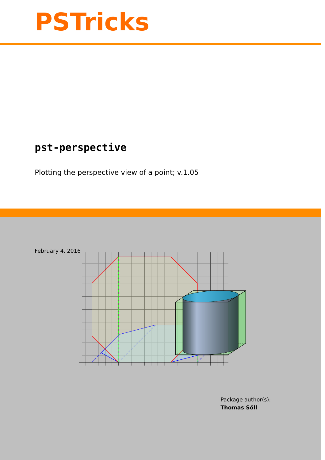

# **pst-perspective**

Plotting the perspective view of a point; v.1.05



Package author(s): **Thomas Söll**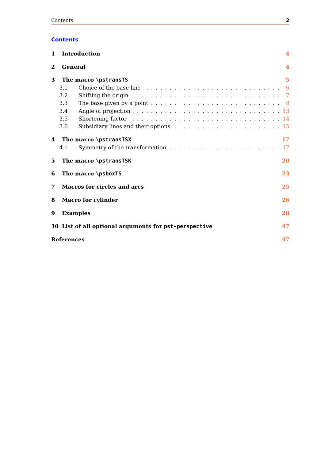# **Contents**

| $\mathbf 1$  | <b>Introduction</b>                                                                                | 4        |  |  |  |
|--------------|----------------------------------------------------------------------------------------------------|----------|--|--|--|
| $\mathbf{2}$ | <b>General</b>                                                                                     | 4        |  |  |  |
| 3            | The macro \pstransTS                                                                               |          |  |  |  |
|              | 3.1                                                                                                |          |  |  |  |
|              | Shifting the origin $\ldots \ldots \ldots \ldots \ldots \ldots \ldots \ldots \ldots \ldots$<br>3.2 |          |  |  |  |
|              | The base given by a point $\ldots \ldots \ldots \ldots \ldots \ldots \ldots \ldots \ldots$<br>3.3  |          |  |  |  |
|              | 3.4                                                                                                |          |  |  |  |
|              | 3.5                                                                                                |          |  |  |  |
|              | 3.6                                                                                                |          |  |  |  |
| 4            | The macro \pstransTSX<br>4.1                                                                       | 17<br>17 |  |  |  |
| 5            | The macro \pstransTSK                                                                              | 20       |  |  |  |
| 6            | The macro \psboxTS                                                                                 | 23       |  |  |  |
| 7            | <b>Macros for circles and arcs</b>                                                                 |          |  |  |  |
| 8            | <b>Macro for cylinder</b>                                                                          |          |  |  |  |
| 9            | <b>Examples</b>                                                                                    | 28       |  |  |  |
|              | 10 List of all optional arguments for pst-perspective                                              | 47       |  |  |  |
|              | <b>References</b>                                                                                  | 47       |  |  |  |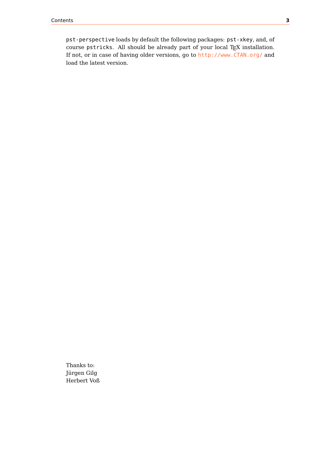pst-perspective loads by default the following packages: pst-xkey, and, of course pstricks. All should be already part of your local TEX installation. If not, or in case of having older versions, go to <http://www.CTAN.org/> and load the latest version.

Thanks to: Jürgen Gilg Herbert Voß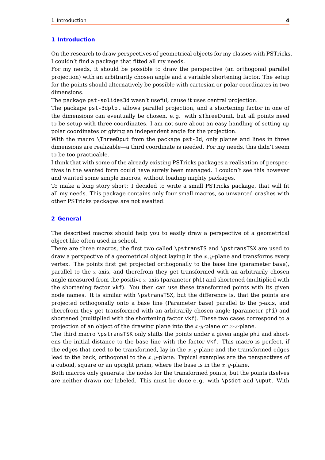#### <span id="page-3-0"></span>**1 Introduction**

On the research to draw perspectives of geometrical objects for my classes with PSTricks, I couldn't find a package that fitted all my needs.

For my needs, it should be possible to draw the perspective (an orthogonal parallel projection) with an arbitrarily chosen angle and a variable shortening factor. The setup for the points should alternatively be possible with cartesian or polar coordinates in two dimensions.

The package pst-solides3d wasn't useful, cause it uses central projection.

The package pst-3dplot allows parallel projection, and a shortening factor in one of the dimensions can eventually be chosen, e. g. with xThreeDunit, but all points need to be setup with three coordinates. I am not sure about an easy handling of setting up polar coordinates or giving an independent angle for the projection.

With the macro \ThreeDput from the package pst-3d, only planes and lines in three dimensions are realizable—a third coordinate is needed. For my needs, this didn't seem to be too practicable.

I think that with some of the already existing PSTricks packages a realisation of perspectives in the wanted form could have surely been managed. I couldn't see this however and wanted some simple macros, without loading mighty packages.

To make a long story short: I decided to write a small PSTricks package, that will fit all my needs. This package contains only four small macros, so unwanted crashes with other PSTricks packages are not awaited.

#### <span id="page-3-1"></span>**2 General**

The described macros should help you to easily draw a perspective of a geometrical object like often used in school.

There are three macros, the first two called \pstransTS and \pstransTSX are used to draw a perspective of a geometrical object laying in the  $x, y$ -plane and transforms every vertex. The points first get projected orthogonally to the base line (parameter base), parallel to the  $x$ -axis, and therefrom they get transformed with an arbitrarily chosen angle measured from the positive  $x$ -axis (parameter phi) and shortened (multiplied with the shortening factor vkf). You then can use these transformed points with its given node names. It is similar with \pstransTSX, but the difference is, that the points are projected orthogonally onto a base line (Parameter base) parallel to the  $y$ -axis, and therefrom they get transformed with an arbitrarily chosen angle (parameter phi) and shortened (multiplied with the shortening factor vkf). These two cases correspond to a projection of an object of the drawing plane into the  $x-y$ -plane or  $x-z$ -plane.

The third macro \pstransTSK only shifts the points under a given angle phi and shortens the initial distance to the base line with the factor vkf. This macro is perfect, if the edges that need to be transformed, lay in the  $x, y$ -plane and the transformed edges lead to the back, orthogonal to the  $x, y$ -plane. Typical examples are the perspectives of a cuboid, square or an upright prism, where the base is in the  $x, y$ -plane.

Both macros only generate the nodes for the transformed points, but the points itselves are neither drawn nor labeled. This must be done e. g. with \psdot and \uput. With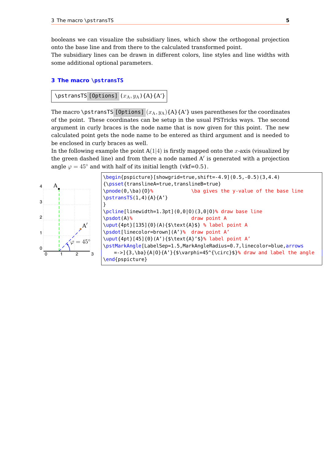booleans we can visualize the subsidiary lines, which show the orthogonal projection onto the base line and from there to the calculated transformed point.

The subsidiary lines can be drawn in different colors, line styles and line widths with some additional optional parameters.

## <span id="page-4-0"></span>**3 The macro \pstransTS**

\pstransTS [Options]  $(x_A, y_A)$ {A}{A'}

The macro \pstransTS [Options]  $(x_A, y_A)$ {A}{A'} uses parentheses for the coordinates of the point. These coordinates can be setup in the usual PSTricks ways. The second argument in curly braces is the node name that is now given for this point. The new calculated point gets the node name to be entered as third argument and is needed to be enclosed in curly braces as well.

In the following example the point  $A(1|4)$  is firstly mapped onto the x-axis (visualized by the green dashed line) and from there a node named  $\mathrm{A}^{\prime}$  is generated with a projection angle  $\varphi = 45^{\circ}$  and with half of its initial length (vkf=0.5).

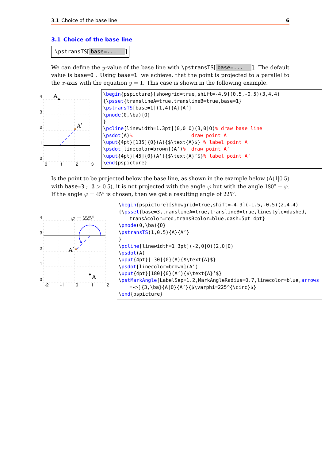#### <span id="page-5-0"></span>**3.1 Choice of the base line**

```
\pstransTS[ base=...
```
We can define the y-value of the base line with  $\partial S = \dots$  ]. The default value is base=0 . Using base=1 we achieve, that the point is projected to a parallel to the x-axis with the equation  $y = 1$ . This case is shown in the following example.



Is the point to be projected below the base line, as shown in the example below (A(1*|*0.5) with base=3;  $3 > 0.5$ ), it is not projected with the angle  $\varphi$  but with the angle  $180^\circ + \varphi$ . If the angle  $\varphi = 45^\circ$  is chosen, then we get a resulting angle of 225°.

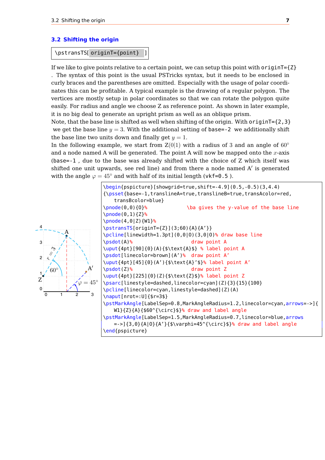## <span id="page-6-0"></span>**3.2 Shifting the origin**

## \pstransTS[ originT={point} ]

If we like to give points relative to a certain point, we can setup this point with origin $T=\{Z\}$ . The syntax of this point is the usual PSTricks syntax, but it needs to be enclosed in curly braces and the parentheses are omitted. Especially with the usage of polar coordinates this can be profitable. A typical example is the drawing of a regular polygon. The vertices are mostly setup in polar coordinates so that we can rotate the polygon quite easily. For radius and angle we choose Z as reference point. As shown in later example, it is no big deal to generate an upright prism as well as an oblique prism.

Note, that the base line is shifted as well when shifting of the origin. With origin $T=\{2,3\}$ we get the base line  $y = 3$ . With the additional setting of base=-2 we additionally shift the base line two units down and finally get  $y = 1$ .

In the following example, we start from  $Z(0|1)$  with a radius of 3 and an angle of  $60°$ and a node named A will be generated. The point A will now be mapped onto the  $x$ -axis (base=-1 , due to the base was already shifted with the choice of Z which itself was shifted one unit upwards, see red line) and from there a node named  $\mathbf{A}'$  is generated with the angle  $\varphi = 45^{\circ}$  and with half of its initial length (vkf=0.5).

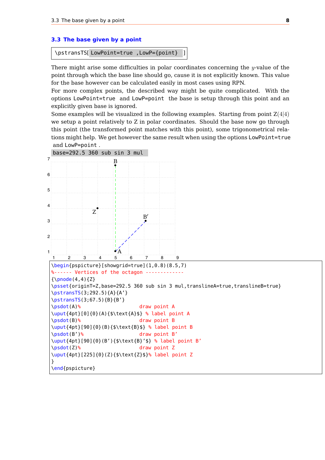## <span id="page-7-0"></span>**3.3 The base given by a point**

```
\pstransTS[ LowPoint=true ,LowP={point} ]
```
There might arise some difficulties in polar coordinates concerning the  $y$ -value of the point through which the base line should go, cause it is not explicitly known. This value for the base however can be calculated easily in most cases using RPN.

For more complex points, the described way might be quite complicated. With the options LowPoint=true and LowP=point the base is setup through this point and an explicitly given base is ignored.

Some examples will be visualized in the following examples. Starting from point Z(4*|*4) we setup a point relatively to Z in polar coordinates. Should the base now go through this point (the transformed point matches with this point), some trigonometrical relations might help. We get however the same result when using the options LowPoint=true and LowP=point .

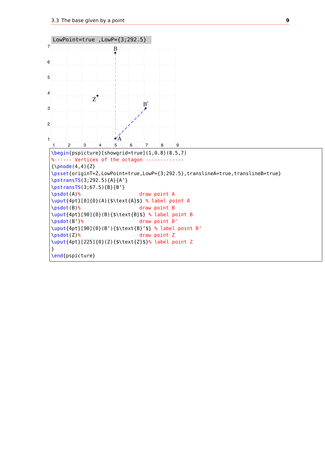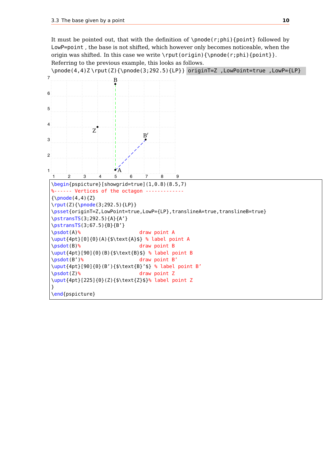It must be pointed out, that with the definition of  $\pmod{r}$  [point] followed by LowP=point , the base is not shifted, which however only becomes noticeable, when the origin was shifted. In this case we write  $\r{\partial(\theta)}{\partial(\theta)$  (pnode(r;phi){point}}. Referring to the previous example, this looks as follows.



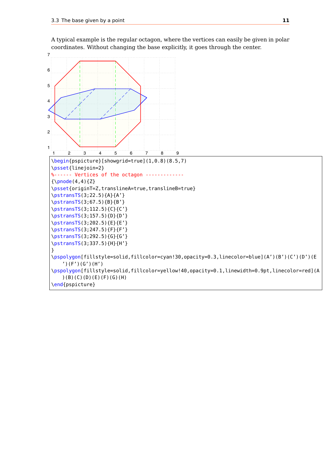A typical example is the regular octagon, where the vertices can easily be given in polar coordinates. Without changing the base explicitly, it goes through the center.

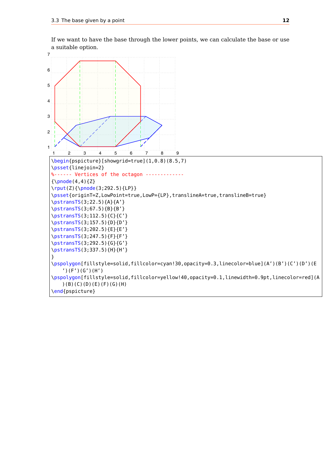If we want to have the base through the lower points, we can calculate the base or use a suitable option.

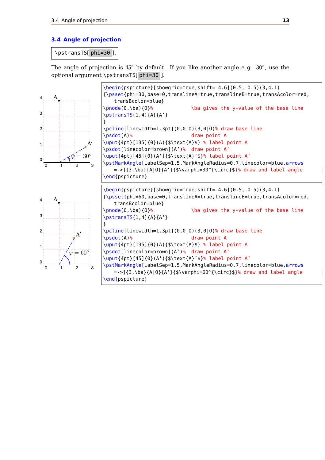# <span id="page-12-0"></span>**3.4 Angle of projection**

\pstransTS[ phi=30 ].

The angle of projection is  $45°$  by default. If you like another angle e.g.  $30°$ , use the optional argument \pstransTS[ phi=30 ].

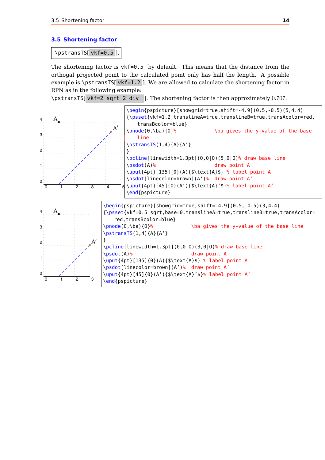## <span id="page-13-0"></span>**3.5 Shortening factor**

\pstransTS[ vkf=0.5 ].

The shortening factor is  $v \kappa f = 0.5$  by default. This means that the distance from the orthogal projected point to the calculated point only has half the length. A possible example is \pstransTS[ vkf=1.2 ]. We are allowed to calculate the shortening factor in RPN as in the following example:

\pstransTS[ vkf=2 sqrt 2 div ]. The shortening factor is then approximately 0.707.

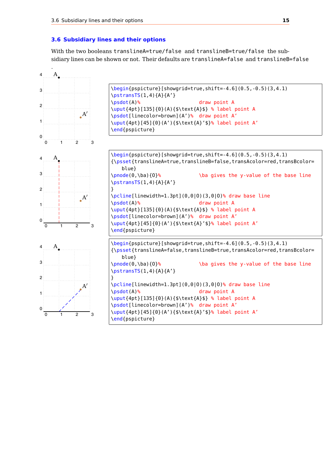## <span id="page-14-0"></span>**3.6 Subsidiary lines and their options**

With the two booleans translineA=true/false and translineB=true/false the subsidiary lines can be shown or not. Their defaults are translineA=false and translineB=false

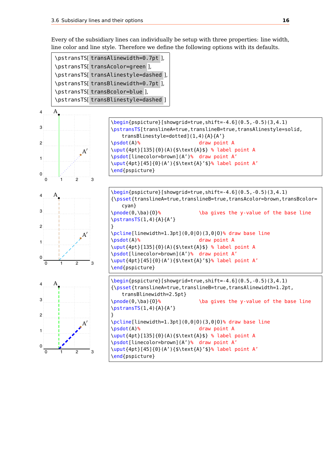Every of the subsidiary lines can individually be setup with three properties: line width, line color and line style. Therefore we define the following options with its defaults.

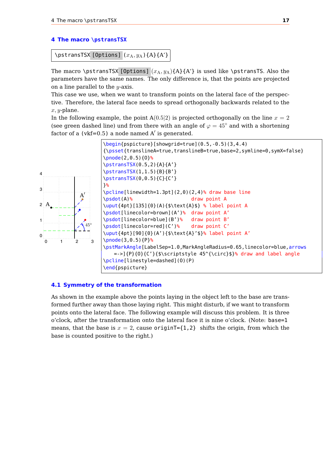### <span id="page-16-0"></span>**4 The macro \pstransTSX**

```
\pstransTSX [Options] (x_A, y_A) {A}{A'}
```
The macro \pstransTSX [Options]  $(x_A, y_A)$ {A}{A'} is used like \pstransTS. Also the parameters have the same names. The only difference is, that the points are projected on a line parallel to the  $y$ -axis.

This case we use, when we want to transform points on the lateral face of the perspective. Therefore, the lateral face needs to spread orthogonally backwards related to the  $x, y$ -plane.

In the following example, the point  $A(0.5|2)$  is projected orthogonally on the line  $x = 2$ (see green dashed line) und from there with an angle of  $\varphi = 45^\circ$  and with a shortening factor of a (vkf=0.5) a node named A $^{\prime}$  is generated.



## <span id="page-16-1"></span>**4.1 Symmetry of the transformation**

As shown in the example above the points laying in the object left to the base are transformed further away than those laying right. This might disturb, if we want to transform points onto the lateral face. The following example will discuss this problem. It is three o'clock, after the transformation onto the lateral face it is nine o'clock. (Note: base=1 means, that the base is  $x = 2$ , cause origin  $I = \{1,2\}$  shifts the origin, from which the base is counted positive to the right.)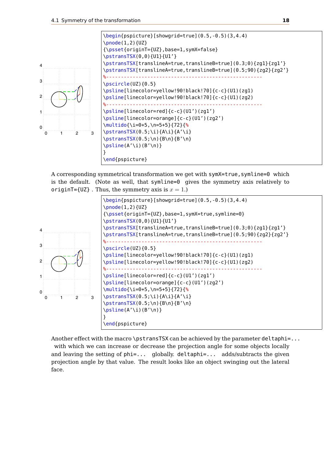

A corresponding symmetrical transformation we get with symX=true,symline=0 which is the default. (Note as well, that symline=0 gives the symmetry axis relatively to originT={UZ}. Thus, the symmetry axis is  $x = 1$ .)



Another effect with the macro \pstransTSX can be achieved by the parameter deltaphi= $\dots$ with which we can increase or decrease the projection angle for some objects locally and leaving the setting of  $phi$ i... globally. deltaphi=... adds/subtracts the given projection angle by that value. The result looks like an object swinging out the lateral face.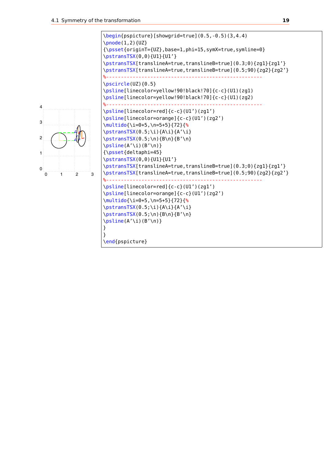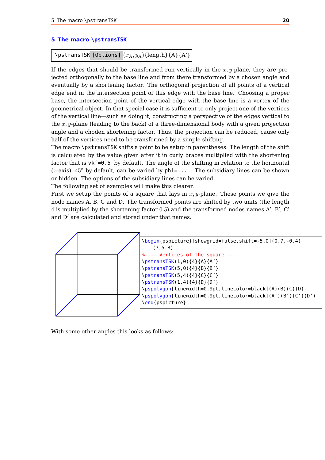#### <span id="page-19-0"></span>**5 The macro \pstransTSK**

```
\pstransTSK [Options] (x_A, y_A){length}{A}{A'}
```
If the edges that should be transformed run vertically in the  $x, y$ -plane, they are projected orthogonally to the base line and from there transformed by a chosen angle and eventually by a shortening factor. The orthogonal projection of all points of a vertical edge end in the intersection point of this edge with the base line. Choosing a proper base, the intersection point of the vertical edge with the base line is a vertex of the geometrical object. In that special case it is sufficient to only project one of the vertices of the vertical line—such as doing it, constructing a perspective of the edges vertical to the  $x, y$ -plane (leading to the back) of a three-dimensional body with a given projection angle and a choden shortening factor. Thus, the projection can be reduced, cause only half of the vertices need to be transformed by a simple shifting.

The macro \pstransTSK shifts a point to be setup in parentheses. The length of the shift is calculated by the value given after it in curly braces multiplied with the shortening factor that is vkf=0.5 by default. The angle of the shifting in relation to the horizontal  $(x\text{-axis})$ ,  $45^\circ$  by default, can be varied by  $\text{phi}$ .... The subsidiary lines can be shown or hidden. The options of the subsidiary lines can be varied.

The following set of examples will make this clearer.

First we setup the points of a square that lays in  $x, y$ -plane. These points we give the node names A, B, C and D. The transformed points are shifted by two units (the length  $4$  is multiplied by the shortening factor  $0.5$ ) and the transformed nodes names A', B', C' and  $D'$  are calculated and stored under that names.



With some other angles this looks as follows: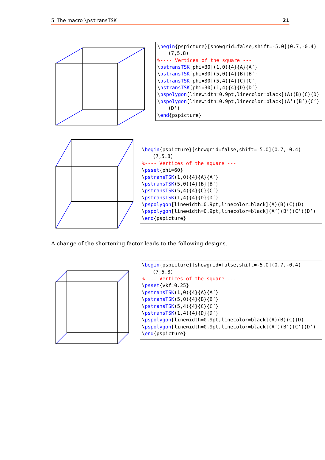

A change of the shortening factor leads to the following designs.



```
\begin{pspicture}[showgrid=false,shift=-5.0](0.7,-0.4)
   (7,5.8)
%---- Vertices of the square ---
\psset{vkf=0.25}
\pstransTSK(1,0){4}{A}{A'}
\pstransTSK(5,0){4}{B}{B'}
\pstransTSK(5,4){4}{C}{C'}
\pstransTSK(1,4){4}{D}{D'}
\pspolygon[linewidth=0.9pt,linecolor=black](A)(B)(C)(D)
\pspolygon[linewidth=0.9pt,linecolor=black](A')(B')(C')(D')
\end{pspicture}
```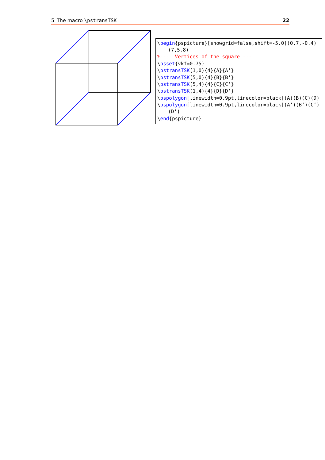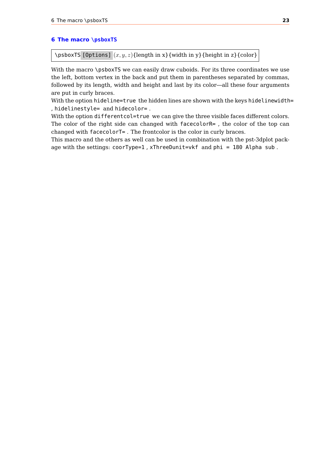## <span id="page-22-0"></span>**6 The macro \psboxTS**

\psboxTS [Options]  $(x, y, z)$ {length in x}{width in y}{height in z}{color}

With the macro \psboxTS we can easily draw cuboids. For its three coordinates we use the left, bottom vertex in the back and put them in parentheses separated by commas, followed by its length, width and height and last by its color—all these four arguments are put in curly braces.

With the option hideline=true the hidden lines are shown with the keys hidelinewidth= , hidelinestyle= and hidecolor= .

With the option different col=true we can give the three visible faces different colors. The color of the right side can changed with facecolorR= , the color of the top can changed with facecolorT= . The frontcolor is the color in curly braces.

This macro and the others as well can be used in combination with the pst-3dplot package with the settings: coorType=1 , xThreeDunit=vkf and phi = 180 Alpha sub .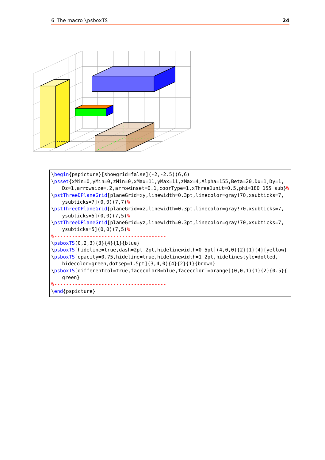

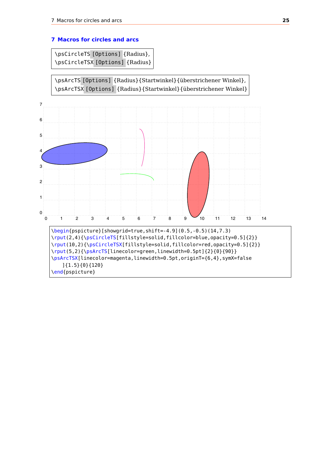## <span id="page-24-0"></span>**7 Macros for circles and arcs**

\psCircleTS [Options] {Radius}, \psCircleTSX [Options] {Radius}



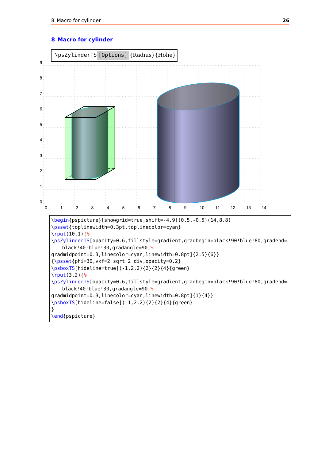## <span id="page-25-0"></span>**8 Macro for cylinder**

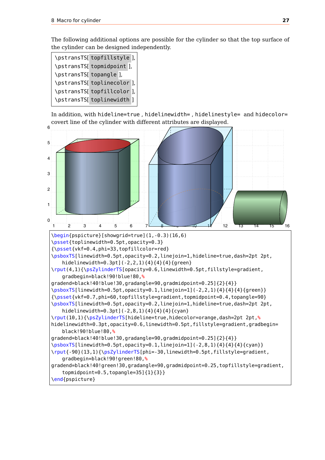The following additional options are possible for the cylinder so that the top surface of the cylinder can be designed independently.

```
\pstransTS[ topfillstyle ],
\pstransTS[ topmidpoint ],
\pstransTS[ topangle ],
\pstransTS[ toplinecolor ],
\pstransTS[ topfillcolor ],
\pstransTS[ toplinewidth ]
```
In addition, with hideline=true , hidelinewidth= , hidelinestyle= and hidecolor= covert line of the cylinder with different attributes are displayed.

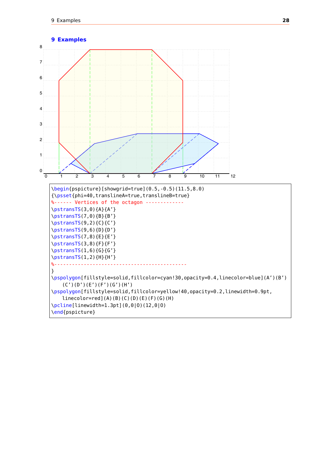<span id="page-27-0"></span>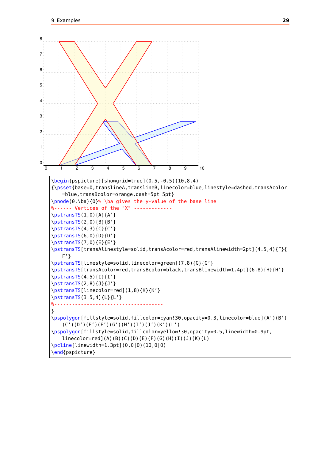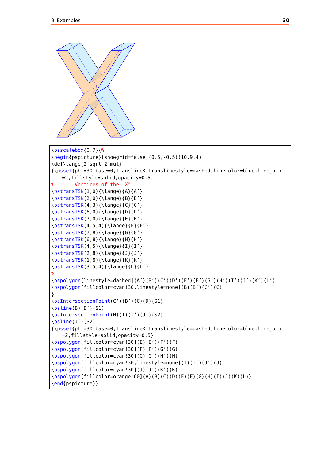

```
\psscalebox{0.7}{%
\begin{pspicture}[showgrid=false](0.5,-0.5)(10,9.4)
\def\lange{2 sqrt 2 mul}
{\psset{phi=30,base=0,translineK,translinestyle=dashed,linecolor=blue,linejoin
   =2,fillstyle=solid,opacity=0.5}
%------ Vertices of the "X" -------------
\pstransTSK(1,0){\lange}{A}{A'}
\pstransTSK(2,0){\lange}{B}{B'}
\pstransTSK(4,3){\lange}{C}{C'}
\pstransTSK(6,0){\lange}{D}{D'}
\pstransTSK(7,0){\lange}{E}{E'}
\pstransTSK(4.5,4){\lange}{F}{F'}
\pstransTSK(7,8){\lange}{G}{G'}
\pstransTSK(6,8){\lange}{H}{H'}
\pstransTSK(4,5){\lange}{I}{I'}
\pstransTSK(2,8){\lange}{J}{J'}
\pstransTSK(1,8){\lange}{K}{K'}
\pstransTSK(3.5,4){\lange}{L}{L'}
%-------------------------------------
\pspolygon[linestyle=dashed](A')(B')(C')(D')(E')(F')(G')(H')(I')(J')(K')(L')
\pspolygon[fillcolor=cyan!30,linestyle=none](B)(B')(C')(C)
}
\psIntersectionPoint(C')(B')(C)(D){S1}
\psline(B)(B')(S1)
\psIntersectionPoint(H)(I)(I')(J'){S2}
\psline(J')(S2)
{\psset{phi=30,base=0,translineK,translinestyle=dashed,linecolor=blue,linejoin
   =2,fillstyle=solid,opacity=0.5}
\pspolygon[fillcolor=cyan!30](E)(E')(F')(F)
\pspolygon[fillcolor=cyan!30](F)(F')(G')(G)
\pspolygon[fillcolor=cyan!30](G)(G')(H')(H)
\pspolygon[fillcolor=cyan!30,linestyle=none](I)(I')(J')(J)
\pspolygon[fillcolor=cyan!30](J)(J')(K')(K)
\pspolygon[fillcolor=orange!60](A)(B)(C)(D)(E)(F)(G)(H)(I)(J)(K)(L)}
\end{pspicture}}
```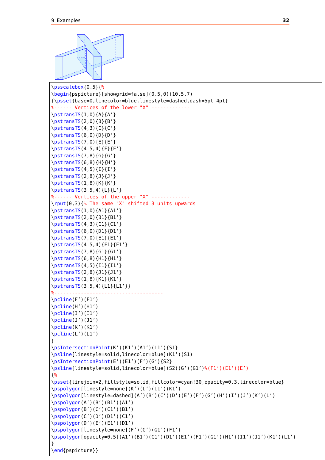```
\psscalebox{0.5}{%
\begin{pspicture}[showgrid=false](0.5,0)(10,5.7)
{\psset{base=0,linecolor=blue,linestyle=dashed,dash=5pt 4pt}
%------ Vertices of the lower "X" -------------
\pstransTS(1,0){A}{A'}
\pstransTS(2,0){B}{B'}
\pstransTS(4,3){C}{C'}
\pstransTS(6,0){D}{D'}
\pstransTS(7,0){E}{E'}
\pstransTS(4.5,4){F}{F'}
\pstransTS(7,8){G}{G'}
\pstransTS(6,8){H}{H'}
\pstransTS(4,5){I}{I'}
\pstransTS(2,8){J}{J'}
\pstransTS(1,8){K}{K'}
\pstransTS(3.5,4){L}{L'}
%------ Vertices of the upper "X" -------------
\rput(0,3){% The same "X" shifted 3 units upwards
\pstransTS(1,0){A1}{A1'}
\pstransTS(2,0){B1}{B1'}
\pstransTS(4,3){C1}{C1'}
\pstransTS(6,0){D1}{D1'}
\pstransTS(7,0){E1}{E1'}
\pstransTS(4.5,4){F1}{F1'}
\pstransTS(7,8){G1}{G1'}
\pstransTS(6,8){H1}{H1'}
\pstransTS(4,5){I1}{I1'}
\pstransTS(2,8){J1}{J1'}
\pstransTS(1,8){K1}{K1'}
\pstransTS(3.5,4){L1}{L1'}}
%-------------------------------------
\pcline(F')(F1')
\pcline(H')(H1')
\pcline(I')(I1')
\pcline(J')(J1')
\pcline(K')(K1')
\pcline(L')(L1')
}
\psIntersectionPoint(K')(K1')(A1')(L1'){S1}
\psline[linestyle=solid,linecolor=blue](K1')(S1)
\psIntersectionPoint(E')(E1')(F')(G'){S2}
\psline[linestyle=solid,linecolor=blue](S2)(G')(G1')%(F1')(E1')(E')
\{9\}\psset{linejoin=2,fillstyle=solid,fillcolor=cyan!30,opacity=0.3,linecolor=blue}
\pspolygon[linestyle=none](K')(L')(L1')(K1')
\pspolygon[linestyle=dashed](A')(B')(C')(D')(E')(F')(G')(H')(I')(J')(K')(L')
\pspolygon(A')(B')(B1')(A1')
\pspolygon(B')(C')(C1')(B1')
```
\pspolygon(C')(D')(D1')(C1') \pspolygon(D')(E')(E1')(D1')

}

\end{pspicture}}

\pspolygon[linestyle=none](F')(G')(G1')(F1')

\pspolygon[opacity=0.5](A1')(B1')(C1')(D1')(E1')(F1')(G1')(H1')(I1')(J1')(K1')(L1')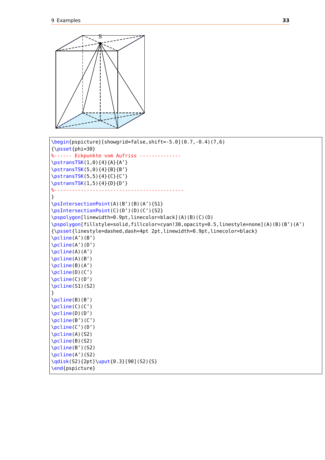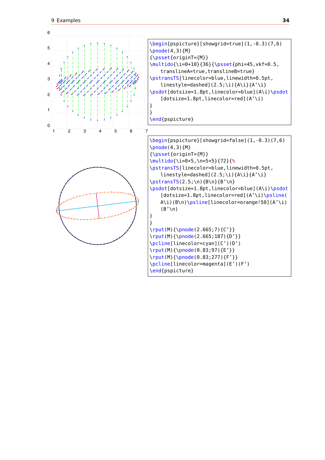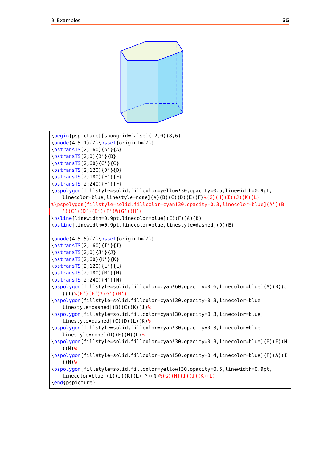

```
\begin{pspicture}[showgrid=false](-2,0)(8,6)
\pmod{4.5,1}{Z}\psset{originT={Z}}\pstransTS(2;-60){A'}{A}
\pstransTS(2;0){B'}{B}
\pstransTS(2;60){C'}{C}
\pstransTS(2;120){D'}{D}
\pstransTS(2;180){E'}{E}
\pstransTS(2;240){F'}{F}
\pspolygon[fillstyle=solid,fillcolor=yellow!30,opacity=0.5,linewidth=0.9pt,
   linecolor=blue,linestyle=none](A)(B)(C)(D)(E)(F)%(G)(H)(I)(J)(K)(L)
%\pspolygon[fillstyle=solid,fillcolor=cyan!30,opacity=0.3,linecolor=blue](A')(B
    ')(C')(D')(E')(F')%(G')(H')
\psline[linewidth=0.9pt,linecolor=blue](E)(F)(A)(B)
\psline[linewidth=0.9pt,linecolor=blue,linestyle=dashed](D)(E)
\pnode(4.5,5){Z}\psset{originT={Z}}
\pstransTS(2;-60){I'}{I}
\pstransTS(2;0){J'}{J}
\pstransTS(2;60){K'}{K}
\pstransTS(2;120){L'}{L}
\pstransTS(2;180){M'}{M}
\pstransTS(2;240){N'}{N}
\pspolygon[fillstyle=solid,fillcolor=cyan!60,opacity=0.6,linecolor=blue](A)(B)(J
   )(I)%(E')(F')%(G')(H')
\pspolygon[fillstyle=solid,fillcolor=cyan!30,opacity=0.3,linecolor=blue,
   linestyle=dashed](B)(C)(K)(J)%
\pspolygon[fillstyle=solid,fillcolor=cyan!30,opacity=0.3,linecolor=blue,
   linestyle=dashed](C)(D)(L)(K)%
\pspolygon[fillstyle=solid,fillcolor=cyan!30,opacity=0.3,linecolor=blue,
   linestyle=none](D)(E)(M)(L)%
\pspolygon[fillstyle=solid,fillcolor=cyan!30,opacity=0.3,linecolor=blue](E)(F)(N
   )(M)%
\pspolygon[fillstyle=solid,fillcolor=cyan!50,opacity=0.4,linecolor=blue](F)(A)(I
   )(N)%
\pspolygon[fillstyle=solid,fillcolor=yellow!30,opacity=0.5,linewidth=0.9pt,
   linecolor=blue](I)(J)(K)(L)(M)(N)%(G)(H)(I)(J)(K)(L)
\end{pspicture}
```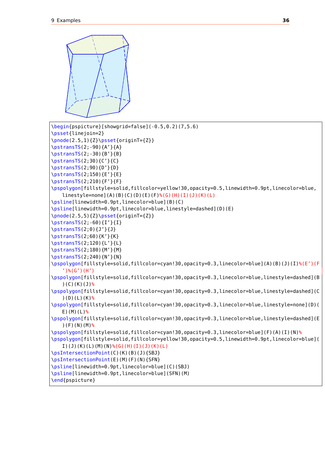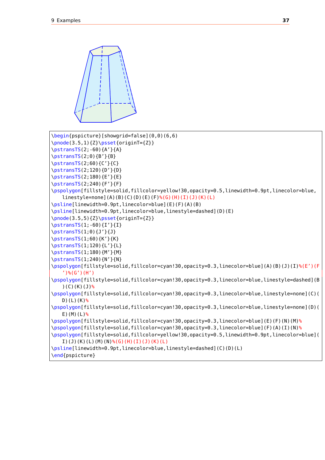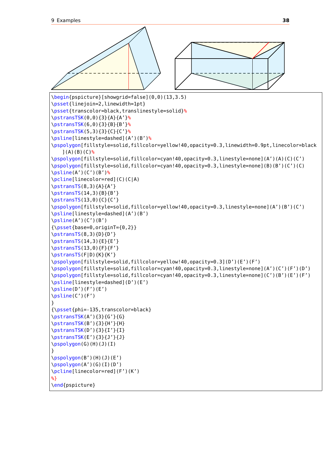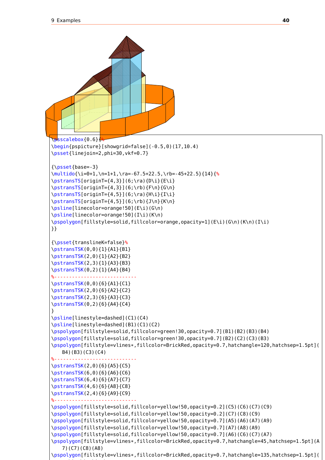```
\psscalebox{0.6}
\begin{pspicture}[showgrid=false](-0.5,0)(17,10.4)
\psset{linejoin=2,phi=30,vkf=0.7}
{\psset{base=-3}
\multido{\i=0+1,\n=1+1,\ra=-67.5+22.5,\rb=-45+22.5}{14}{%
\mathcal{D}\left\{S[originT=\{4,3\}](6;\Gamma)\{D\i}^{E\i}\right\}\pstransTS[originT={4,3}](6;\rb){F\n}{G\n}
\mathcal{D}[originT={4,5}](6;\ra){H\i}{I\i}
\pstransTS[originT={4,5}](6;\rb){J\n}{K\n}
\psline[linecolor=orange!50](E\i)(G\n)
\psline[linecolor=orange!50](I\i)(K\n)
\pspolygon[fillstyle=solid,fillcolor=orange,opacity=1](E\i)(G\n)(K\n)(I\i)
}}
{\psset{translineK=false}%
\pstransTSK(0,0){1}{A1}{B1}
\pstransTSK(2,0){1}{A2}{B2}
\pstransTSK(2,3){1}{A3}{B3}
\pstransTSK(0,2){1}{A4}{B4}
%----------------------------
\pstransTSK(0,0){6}{A1}{C1}
\pstransTSK(2,0){6}{A2}{C2}
\pstransTSK(2,3){6}{A3}{C3}
\pstransTSK(0,2){6}{A4}{C4}
}
\psline[linestyle=dashed](C1)(C4)
\psline[linestyle=dashed](B1)(C1)(C2)
\pspolygon[fillstyle=solid,fillcolor=green!30,opacity=0.7](B1)(B2)(B3)(B4)
\pspolygon[fillstyle=solid,fillcolor=green!30,opacity=0.7](B2)(C2)(C3)(B3)
\pspolygon[fillstyle=vlines*,fillcolor=BrickRed,opacity=0.7,hatchangle=120,hatchsep=1.5pt](
   B4)(B3)(C3)(C4)
       %----------------------------
\pstransTSK(2,0){6}{A5}{C5}
\pstransTSK(6,0){6}{A6}{C6}
\pstransTSK(6,4){6}{A7}{C7}
\pstransTSK(4,6){6}{A8}{C8}
\pstransTSK(2,4){6}{A9}{C9}
%----------------------------
\pspolygon[fillstyle=solid,fillcolor=yellow!50,opacity=0.2](C5)(C6)(C7)(C9)
\pspolygon[fillstyle=solid,fillcolor=yellow!50,opacity=0.2](C7)(C8)(C9)
\pspolygon[fillstyle=solid,fillcolor=yellow!50,opacity=0.7](A5)(A6)(A7)(A9)
\pspolygon[fillstyle=solid,fillcolor=yellow!50,opacity=0.7](A7)(A8)(A9)
\pspolygon[fillstyle=solid,fillcolor=yellow!50,opacity=0.7](A6)(C6)(C7)(A7)
\pspolygon[fillstyle=vlines*,fillcolor=BrickRed,opacity=0.7,hatchangle=45,hatchsep=1.5pt](A
   7)(C7)(C8)(A8)
\pspolygon[fillstyle=vlines*,fillcolor=BrickRed,opacity=0.7,hatchangle=135,hatchsep=1.5pt](
```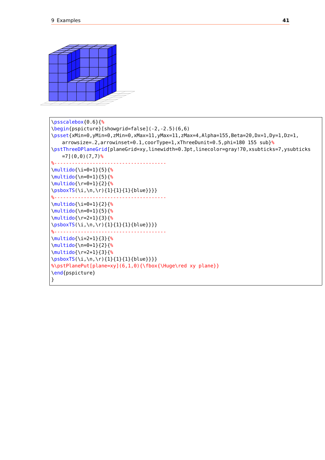

| \psscalebox{0.6}{%                                                                                                                                                    |
|-----------------------------------------------------------------------------------------------------------------------------------------------------------------------|
| $\begin{bmatrix} \begin{bmatrix} 6, 6 \end{bmatrix} \end{bmatrix}$                                                                                                    |
| /psset{xMin=0,yMin=0,zMin=0,xMax=11,yMax=11,zMax=4,Alpha=155,Beta=20,Dx=1,Dy=1,Dz=1,<br>$arrowsize=.2, arrowsine+=0.1, coorType=1, xThreeDunit=0.5, phi=180 155 sub.$ |
| \pstThreeDPlaneGrid[planeGrid=xy,linewidth=0.3pt,linecolor=gray!70,xsubticks=7,ysubticks<br>$=71(0,0)(7,7)$ %                                                         |
| $% - - -$<br>----------------------                                                                                                                                   |
| $\mathcal{1} = 0 + 1$ {5} {%                                                                                                                                          |
| \multido{\n=0+1}{5}{%                                                                                                                                                 |
| $\mathcal{C}$ \multido{\r=0+1}{2}{%                                                                                                                                   |
| $\pmb{\times}$ TS(\i,\n,\r){1}{1}{1}{blue}}}}                                                                                                                         |
| $\frac{6}{2}$ - - - -                                                                                                                                                 |
| $\mathcal{1}^{8}$                                                                                                                                                     |
| $\mu\text{tido}\{\n-n=0+1\}$ {5}{%                                                                                                                                    |
| $\mathcal{C}$ \multido{\r=2+1}{3}{%                                                                                                                                   |
| \psboxTS(\i,\n,\r){1}{1}{1}{blue}}}}                                                                                                                                  |
|                                                                                                                                                                       |
| $\mathcal{1}$ {3} {\multido {\i=2+1} {3} {                                                                                                                            |
| $\mu\text{tido}\{\n-n=0+1\}$ {2}{%                                                                                                                                    |
| $\mathcal{U} = 2+1$ {3} {%                                                                                                                                            |
| \psboxTS(\i,\n,\r){1}{1}{1}{blue}}}}                                                                                                                                  |
| %\pstPlanePut[plane=xy](6,1,0){\fbox{\Huge\red xy plane}}                                                                                                             |
| \end{pspicture}                                                                                                                                                       |
| }                                                                                                                                                                     |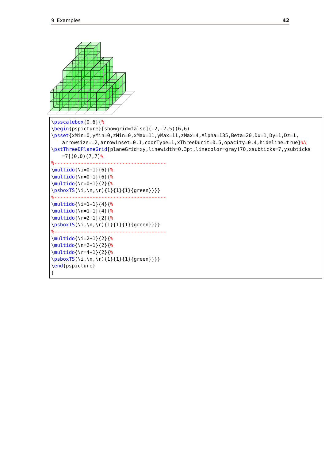

| \psscalebox{0.6}{%                                                                                                                                                                                   |
|------------------------------------------------------------------------------------------------------------------------------------------------------------------------------------------------------|
| $\begin{bmatrix} \begin{bmatrix} 6 & 6 \end{bmatrix} \end{bmatrix}$ [showgrid=false](-2,-2.5)(6,6)                                                                                                   |
| /psset{xMin=0,yMin=0,zMin=0,xMax=11,yMax=11,zMax=4,Alpha=135,Beta=20,Dx=1,Dy=1,Dz=1,<br>$arrow size=.2$ , $arrow size=0.1$ , $coorType=1$ , $xThreeDunit=0.5$ , $opacity=0.4$ , $hideline=true$ $\%$ |
| \pstThreeDPlaneGrid[planeGrid=xy,linewidth=0.3pt,linecolor=gray!70,xsubticks=7,ysubticks<br>$=71(0,0)(7,7)$ %<br>.<br>$\frac{6}{6}$ –                                                                |
| $\mathcal{1}^{multido}$ {\i=0+1}{6}{%                                                                                                                                                                |
| $\mu\text{tido}\{\n-n=0+1\}$ {6} {%                                                                                                                                                                  |
| \multido{\r=0+1}{2}{%                                                                                                                                                                                |
| \psboxTS(\i,\n,\r){1}{1}{1}{green}}}}                                                                                                                                                                |
| • ≫                                                                                                                                                                                                  |
| \multido{\i=1+1}{4}{%                                                                                                                                                                                |
| $\mathcal{1}^{nultido\{\n n=1+1\}$ {4}{%                                                                                                                                                             |
| \multido{\r=2+1}{2}{%                                                                                                                                                                                |
| \psboxTS(\i,\n,\r){1}{1}{1}{green}}}}                                                                                                                                                                |
|                                                                                                                                                                                                      |
| \multido{\i=2+1}{2}{%                                                                                                                                                                                |
| $\mathcal{1}^{nultido\{\n n=2+1\}^{2}$                                                                                                                                                               |
| \multido{\r=4+1}{2}{%                                                                                                                                                                                |
| \psboxTS(\i,\n,\r){1}{1}{1}{green}}}}                                                                                                                                                                |
| \end{pspicture}                                                                                                                                                                                      |
|                                                                                                                                                                                                      |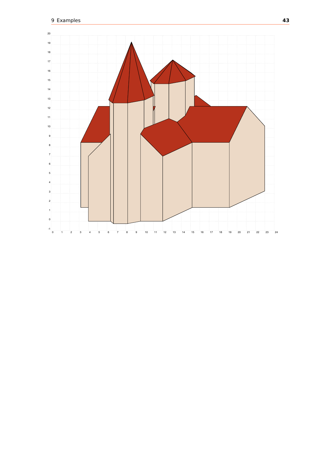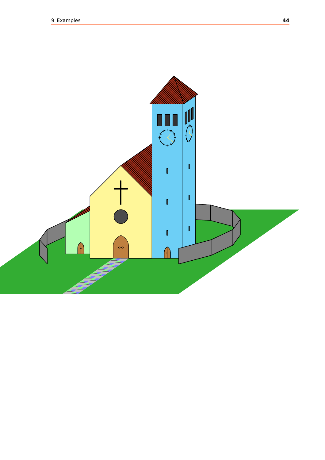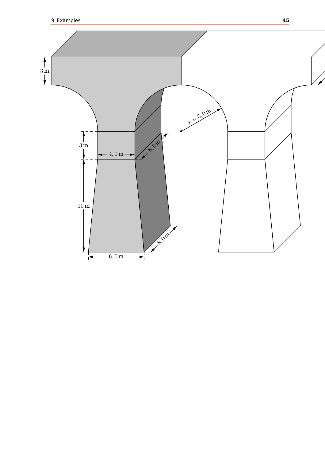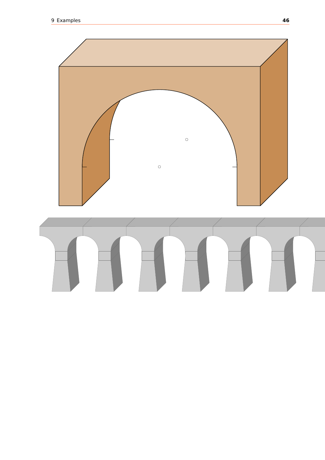

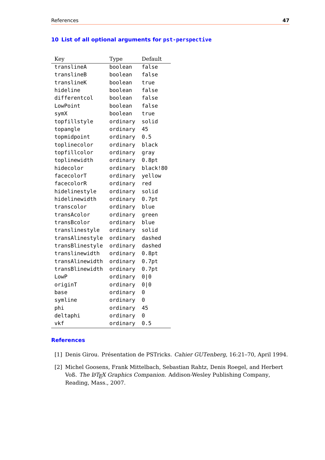# <span id="page-46-0"></span>**10 List of all optional arguments for pst-perspective**

| Key             | Type     | Default  |
|-----------------|----------|----------|
| translineA      | boolean  | false    |
| translineB      | boolean  | false    |
| translineK      | boolean  | true     |
| hideline        | boolean  | false    |
| differentcol    | boolean  | false    |
| LowPoint        | boolean  | false    |
| symX            | boolean  | true     |
| topfillstyle    | ordinary | solid    |
| topangle        | ordinary | 45       |
| topmidpoint     | ordinary | 0.5      |
| toplinecolor    | ordinary | black    |
| topfillcolor    | ordinary | gray     |
| toplinewidth    | ordinary | 0.8pt    |
| hidecolor       | ordinary | black!80 |
| facecolorT      | ordinary | yellow   |
| facecolorR      | ordinary | red      |
| hidelinestyle   | ordinary | solid    |
| hidelinewidth   | ordinary | 0.7pt    |
| transcolor      | ordinary | blue     |
| transAcolor     | ordinary | green    |
| transBcolor     | ordinary | blue     |
| translinestyle  | ordinary | solid    |
| transAlinestyle | ordinary | dashed   |
| transBlinestyle | ordinary | dashed   |
| translinewidth  | ordinary | 0.8pt    |
| transAlinewidth | ordinary | 0.7pt    |
| transBlinewidth | ordinary | 0.7pt    |
| LowP            | ordinary | 0 0      |
| originT         | ordinary | 0 0      |
| base            | ordinary | 0        |
| symline         | ordinary | 0        |
| phi             | ordinary | 45       |
| deltaphi        | ordinary | 0        |
| vkf             | ordinary | 0.5      |

## <span id="page-46-1"></span>**References**

- [1] Denis Girou. Présentation de PSTricks. Cahier GUTenberg, 16:21–70, April 1994.
- [2] Michel Goosens, Frank Mittelbach, Sebastian Rahtz, Denis Roegel, and Herbert Voß. The LAT<sub>F</sub>X Graphics Companion. Addison-Wesley Publishing Company, Reading, Mass., 2007.